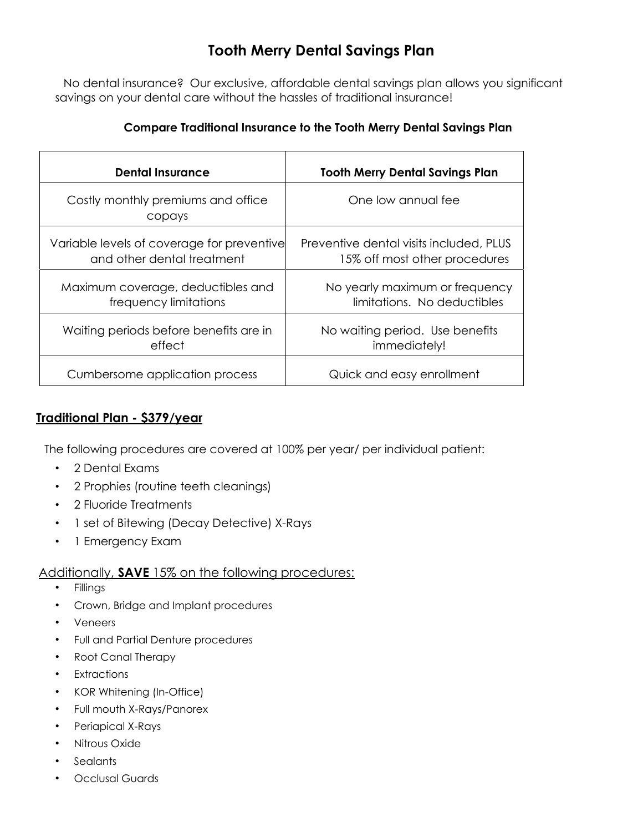## **Tooth Merry Dental Savings Plan**

No dental insurance? Our exclusive, affordable dental savings plan allows you significant savings on your dental care without the hassles of traditional insurance!

#### **Compare Traditional Insurance to the Tooth Merry Dental Savings Plan**

| <b>Dental Insurance</b>                      | <b>Tooth Merry Dental Savings Plan</b>  |  |  |
|----------------------------------------------|-----------------------------------------|--|--|
| Costly monthly premiums and office<br>copays | One low annual fee                      |  |  |
| Variable levels of coverage for preventive   | Preventive dental visits included, PLUS |  |  |
| and other dental treatment                   | 15% off most other procedures           |  |  |
| Maximum coverage, deductibles and            | No yearly maximum or frequency          |  |  |
| frequency limitations                        | limitations. No deductibles             |  |  |
| Waiting periods before benefits are in       | No waiting period. Use benefits         |  |  |
| effect                                       | immediately!                            |  |  |
| Cumbersome application process               | Quick and easy enrollment               |  |  |

### **Traditional Plan - \$379/year**

The following procedures are covered at 100% per year/ per individual patient:

- 2 Dental Exams
- 2 Prophies (routine teeth cleanings)
- 2 Fluoride Treatments
- 1 set of Bitewing (Decay Detective) X-Rays
- 1 Emergency Exam

### Additionally, **SAVE** 15% on the following procedures:

- **Fillings**
- Crown, Bridge and Implant procedures
- Veneers
- Full and Partial Denture procedures
- Root Canal Therapy
- **Extractions**
- KOR Whitening (In-Office)
- Full mouth X-Rays/Panorex
- Periapical X-Rays
- Nitrous Oxide
- **Sealants**
- Occlusal Guards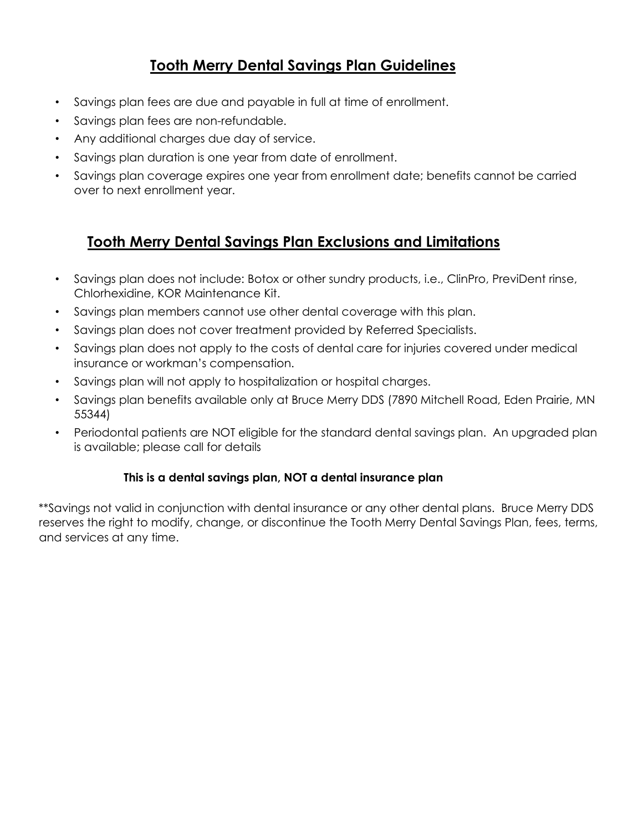## **Tooth Merry Dental Savings Plan Guidelines**

- Savings plan fees are due and payable in full at time of enrollment.
- Savings plan fees are non-refundable.
- Any additional charges due day of service.
- Savings plan duration is one year from date of enrollment.
- Savings plan coverage expires one year from enrollment date; benefits cannot be carried over to next enrollment year.

### **Tooth Merry Dental Savings Plan Exclusions and Limitations**

- Savings plan does not include: Botox or other sundry products, i.e., ClinPro, PreviDent rinse, Chlorhexidine, KOR Maintenance Kit.
- Savings plan members cannot use other dental coverage with this plan.
- Savings plan does not cover treatment provided by Referred Specialists.
- Savings plan does not apply to the costs of dental care for injuries covered under medical insurance or workman's compensation.
- Savings plan will not apply to hospitalization or hospital charges.
- Savings plan benefits available only at Bruce Merry DDS (7890 Mitchell Road, Eden Prairie, MN 55344)
- Periodontal patients are NOT eligible for the standard dental savings plan. An upgraded plan is available; please call for details

### **This is a dental savings plan, NOT a dental insurance plan**

\*\*Savings not valid in conjunction with dental insurance or any other dental plans. Bruce Merry DDS reserves the right to modify, change, or discontinue the Tooth Merry Dental Savings Plan, fees, terms, and services at any time.